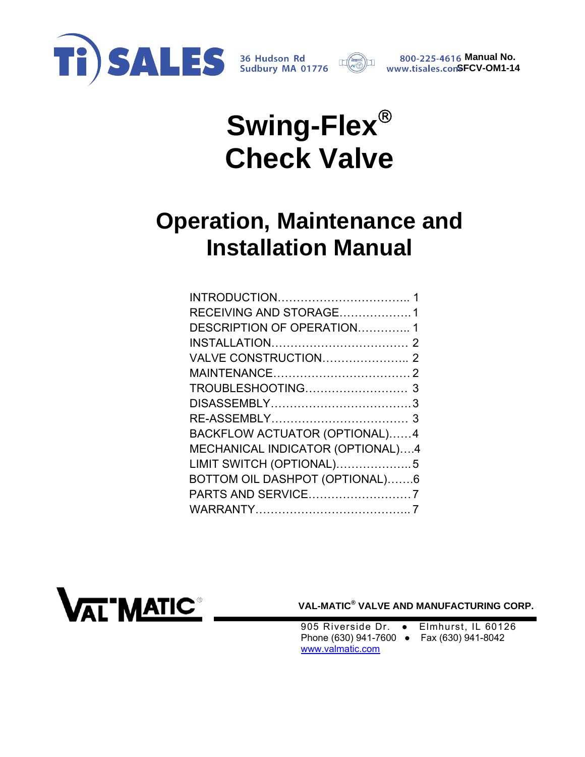



*A616* Manual No. **SFCV-OM1-14**

# **Swing-Flex Check Valve**

## **Operation, Maintenance and Installation Manual**

| RECEIVING AND STORAGE1           |  |
|----------------------------------|--|
| DESCRIPTION OF OPERATION1        |  |
|                                  |  |
|                                  |  |
|                                  |  |
|                                  |  |
|                                  |  |
|                                  |  |
| BACKFLOW ACTUATOR (OPTIONAL)4    |  |
| MECHANICAL INDICATOR (OPTIONAL)4 |  |
| LIMIT SWITCH (OPTIONAL)5         |  |
| BOTTOM OIL DASHPOT (OPTIONAL)6   |  |
| PARTS AND SERVICE7               |  |
|                                  |  |
|                                  |  |



 **VAL-MATIC® VALVE AND MANUFACTURING CORP.** 

905 Riverside Dr. • Elmhurst, IL 60126 Phone (630) 941-7600 ● Fax (630) 941-8042 www.valmatic.com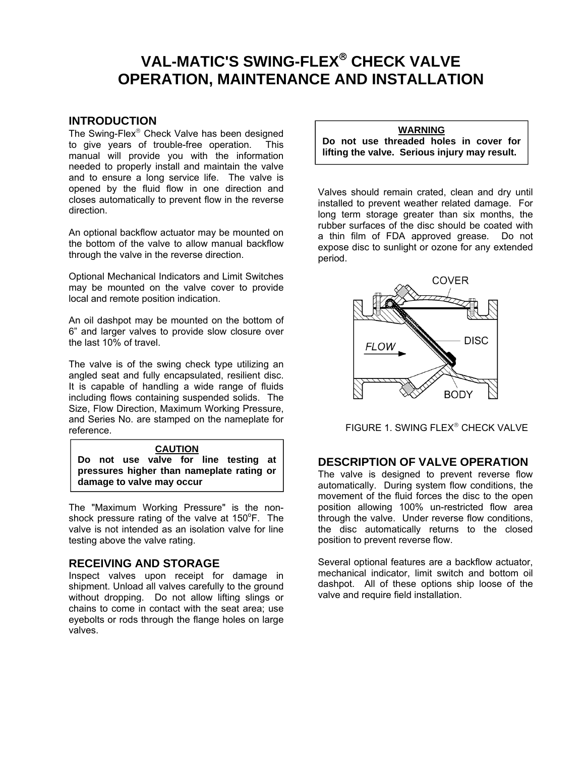### <span id="page-1-0"></span>**VAL-MATIC'S SWING-FLEX<sup>®</sup> CHECK VALVE OPERATION, MAINTENANCE AND INSTALLATION**

#### **INTRODUCTION**

The Swing-Flex<sup>®</sup> Check Valve has been designed to give years of trouble-free operation. This manual will provide you with the information needed to properly install and maintain the valve and to ensure a long service life. The valve is opened by the fluid flow in one direction and closes automatically to prevent flow in the reverse direction.

An optional backflow actuator may be mounted on the bottom of the valve to allow manual backflow through the valve in the reverse direction.

Optional Mechanical Indicators and Limit Switches may be mounted on the valve cover to provide local and remote position indication.

An oil dashpot may be mounted on the bottom of 6" and larger valves to provide slow closure over the last 10% of travel.

The valve is of the swing check type utilizing an angled seat and fully encapsulated, resilient disc. It is capable of handling a wide range of fluids including flows containing suspended solids. The Size, Flow Direction, Maximum Working Pressure, and Series No. are stamped on the nameplate for reference.

#### **CAUTION**

**Do not use valve for line testing at pressures higher than nameplate rating or damage to valve may occur** 

The "Maximum Working Pressure" is the nonshock pressure rating of the valve at  $150^{\circ}$ F. The valve is not intended as an isolation valve for line testing above the valve rating.

#### **RECEIVING AND STORAGE**

Inspect valves upon receipt for damage in shipment. Unload all valves carefully to the ground without dropping. Do not allow lifting slings or chains to come in contact with the seat area; use eyebolts or rods through the flange holes on large valves.

#### **WARNING**

**Do not use threaded holes in cover for lifting the valve. Serious injury may result.** 

Valves should remain crated, clean and dry until installed to prevent weather related damage. For long term storage greater than six months, the rubber surfaces of the disc should be coated with a thin film of FDA approved grease. Do not expose disc to sunlight or ozone for any extended period.



FIGURE 1. SWING FLEX<sup>®</sup> CHECK VALVE

#### **DESCRIPTION OF VALVE OPERATION**

The valve is designed to prevent reverse flow automatically. During system flow conditions, the movement of the fluid forces the disc to the open position allowing 100% un-restricted flow area through the valve. Under reverse flow conditions, the disc automatically returns to the closed position to prevent reverse flow.

Several optional features are a backflow actuator, mechanical indicator, limit switch and bottom oil dashpot. All of these options ship loose of the valve and require field installation.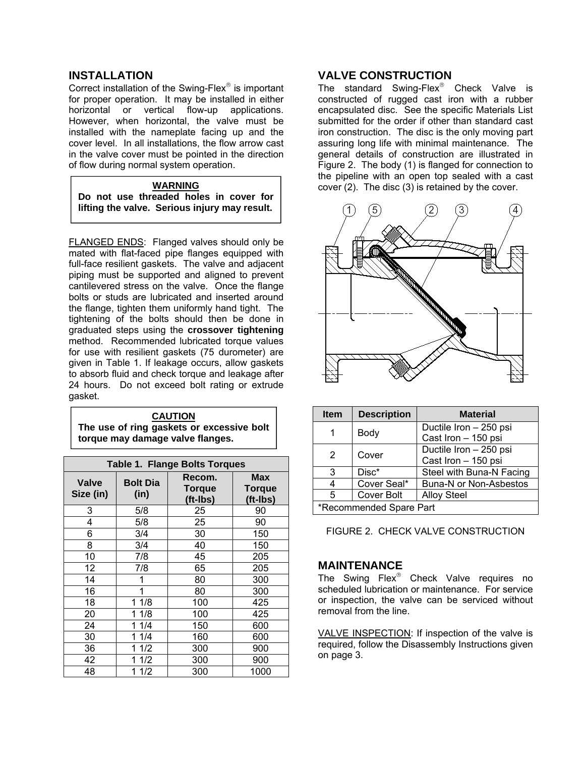#### <span id="page-2-0"></span>**INSTALLATION**

Correct installation of the Swing-Flex<sup>®</sup> is important for proper operation. It may be installed in either horizontal or vertical flow-up applications. However, when horizontal, the valve must be installed with the nameplate facing up and the cover level. In all installations, the flow arrow cast in the valve cover must be pointed in the direction of flow during normal system operation.

#### **WARNING Do not use threaded holes in cover for lifting the valve. Serious injury may result.**

FLANGED ENDS: Flanged valves should only be mated with flat-faced pipe flanges equipped with full-face resilient gaskets. The valve and adjacent piping must be supported and aligned to prevent cantilevered stress on the valve. Once the flange bolts or studs are lubricated and inserted around the flange, tighten them uniformly hand tight. The tightening of the bolts should then be done in graduated steps using the **crossover tightening** method. Recommended lubricated torque values for use with resilient gaskets (75 durometer) are given in Table 1. If leakage occurs, allow gaskets to absorb fluid and check torque and leakage after 24 hours. Do not exceed bolt rating or extrude gasket.

#### **CAUTION The use of ring gaskets or excessive bolt torque may damage valve flanges.**

 $\overline{\phantom{a}}$ 

| <b>Table 1. Flange Bolts Torques</b> |                         |                              |                                  |
|--------------------------------------|-------------------------|------------------------------|----------------------------------|
| <b>Valve</b><br>Size (in)            | <b>Bolt Dia</b><br>(in) | Recom.<br>Torque<br>(ft-Ibs) | <b>Max</b><br>Torque<br>(ft-Ibs) |
| 3                                    | 5/8                     | 25                           | 90                               |
| 4                                    | 5/8                     | 25                           | 90                               |
| 6                                    | 3/4                     | 30                           | 150                              |
| 8                                    | 3/4                     | 40                           | 150                              |
| 10                                   | 7/8                     | 45                           | 205                              |
| 12                                   | 7/8                     | 65                           | 205                              |
| 14                                   |                         | 80                           | 300                              |
| 16                                   | 1                       | 80                           | 300                              |
| 18                                   | 1/8<br>1                | 100                          | 425                              |
| 20                                   | 1/8                     | 100                          | 425                              |
| 24                                   | 1/4                     | 150                          | 600                              |
| 30                                   | 1/4                     | 160                          | 600                              |
| 36                                   | 1/2                     | 300                          | 900                              |
| 42                                   | 1/2                     | 300                          | 900                              |
| 48                                   | 1/2                     | 300                          | 1000                             |

#### **VALVE CONSTRUCTION**

The standard Swing-Flex<sup>®</sup> Check Valve is constructed of rugged cast iron with a rubber encapsulated disc. See the specific Materials List submitted for the order if other than standard cast iron construction. The disc is the only moving part assuring long life with minimal maintenance. The general details of construction are illustrated in Figure 2. The body (1) is flanged for connection to the pipeline with an open top sealed with a cast cover (2). The disc (3) is retained by the cover.



| <b>Item</b>             | <b>Description</b>     | <b>Material</b>               |
|-------------------------|------------------------|-------------------------------|
| Body                    | Ductile Iron - 250 psi |                               |
|                         |                        | Cast Iron - 150 psi           |
| 2                       |                        | Ductile Iron - 250 psi        |
| Cover                   |                        | Cast Iron - 150 psi           |
| 3                       | Disc*                  | Steel with Buna-N Facing      |
| 4                       | Cover Seal*            | <b>Buna-N or Non-Asbestos</b> |
| 5                       | Cover Bolt             | <b>Alloy Steel</b>            |
| *Recommended Spare Part |                        |                               |

FIGURE 2. CHECK VALVE CONSTRUCTION

#### **MAINTENANCE**

The Swing Flex® Check Valve requires no scheduled lubrication or maintenance. For service or inspection, the valve can be serviced without removal from the line.

VALVE INSPECTION: If inspection of the valve is required, follow the Disassembly Instructions given on page 3.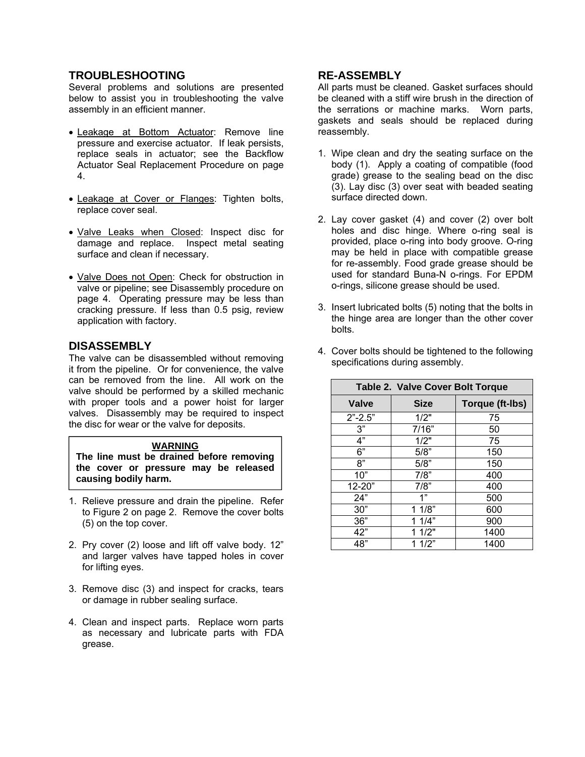#### <span id="page-3-0"></span>**TROUBLESHOOTING**

Several problems and solutions are presented below to assist you in troubleshooting the valve assembly in an efficient manner.

- Leakage at Bottom Actuator: Remove line pressure and exercise actuator. If leak persists, replace seals in actuator; see the Backflow Actuator Seal Replacement Procedure on page 4.
- Leakage at Cover or Flanges: Tighten bolts, replace cover seal.
- Valve Leaks when Closed: Inspect disc for damage and replace. Inspect metal seating surface and clean if necessary.
- Valve Does not Open: Check for obstruction in valve or pipeline; see Disassembly procedure on page 4. Operating pressure may be less than cracking pressure. If less than 0.5 psig, review application with factory.

#### **DISASSEMBLY**

The valve can be disassembled without removing it from the pipeline. Or for convenience, the valve can be removed from the line. All work on the valve should be performed by a skilled mechanic with proper tools and a power hoist for larger valves. Disassembly may be required to inspect the disc for wear or the valve for deposits.

#### **WARNING**

**The line must be drained before removing the cover or pressure may be released causing bodily harm.** 

- 1. Relieve pressure and drain the pipeline. Refer to Figure 2 on page 2. Remove the cover bolts (5) on the top cover.
- 2. Pry cover (2) loose and lift off valve body. 12" and larger valves have tapped holes in cover for lifting eyes.
- 3. Remove disc (3) and inspect for cracks, tears or damage in rubber sealing surface.
- 4. Clean and inspect parts. Replace worn parts as necessary and lubricate parts with FDA grease.

#### **RE-ASSEMBLY**

All parts must be cleaned. Gasket surfaces should be cleaned with a stiff wire brush in the direction of the serrations or machine marks. Worn parts, gaskets and seals should be replaced during reassembly.

- 1. Wipe clean and dry the seating surface on the body (1). Apply a coating of compatible (food grade) grease to the sealing bead on the disc (3). Lay disc (3) over seat with beaded seating surface directed down.
- 2. Lay cover gasket (4) and cover (2) over bolt holes and disc hinge. Where o-ring seal is provided, place o-ring into body groove. O-ring may be held in place with compatible grease for re-assembly. Food grade grease should be used for standard Buna-N o-rings. For EPDM o-rings, silicone grease should be used.
- 3. Insert lubricated bolts (5) noting that the bolts in the hinge area are longer than the other cover bolts.
- 4. Cover bolts should be tightened to the following specifications during assembly.

| Table 2. Valve Cover Bolt Torque |             |                 |  |
|----------------------------------|-------------|-----------------|--|
| <b>Valve</b>                     | <b>Size</b> | Torque (ft-lbs) |  |
| $2" - 2.5"$                      | 1/2"        | 75              |  |
| 3"                               | 7/16"       | 50              |  |
| 4"                               | 1/2"        | 75              |  |
| 6"                               | 5/8"        | 150             |  |
| 8"                               | 5/8"        | 150             |  |
| 10"                              | 7/8"        | 400             |  |
| 12-20"                           | 7/8"        | 400             |  |
| 24"                              | 1"          | 500             |  |
| 30"                              | 11/8"       | 600             |  |
| 36"                              | 11/4"       | 900             |  |
| 42"                              | 11/2"       | 1400            |  |
| 48"                              | 11/2"       | 1400            |  |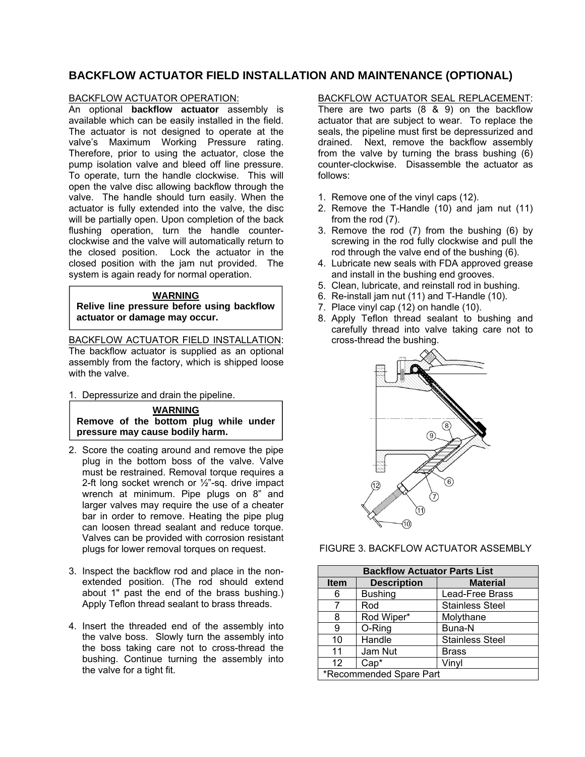#### <span id="page-4-0"></span>**BACKFLOW ACTUATOR FIELD INSTALLATION AND MAINTENANCE (OPTIONAL)**

#### BACKFLOW ACTUATOR OPERATION:

An optional **backflow actuator** assembly is available which can be easily installed in the field. The actuator is not designed to operate at the valve's Maximum Working Pressure rating. Therefore, prior to using the actuator, close the pump isolation valve and bleed off line pressure. To operate, turn the handle clockwise. This will open the valve disc allowing backflow through the valve. The handle should turn easily. When the actuator is fully extended into the valve, the disc will be partially open. Upon completion of the back flushing operation, turn the handle counterclockwise and the valve will automatically return to the closed position. Lock the actuator in the closed position with the jam nut provided. The system is again ready for normal operation.

#### **WARNING**

**Relive line pressure before using backflow actuator or damage may occur.** 

BACKFLOW ACTUATOR FIELD INSTALLATION: The backflow actuator is supplied as an optional assembly from the factory, which is shipped loose with the valve.

1. Depressurize and drain the pipeline.

**WARNING Remove of the bottom plug while under pressure may cause bodily harm.** 

- 2. Score the coating around and remove the pipe plug in the bottom boss of the valve. Valve must be restrained. Removal torque requires a 2-ft long socket wrench or ½"-sq. drive impact wrench at minimum. Pipe plugs on 8" and larger valves may require the use of a cheater bar in order to remove. Heating the pipe plug can loosen thread sealant and reduce torque. Valves can be provided with corrosion resistant plugs for lower removal torques on request.
- 3. Inspect the backflow rod and place in the nonextended position. (The rod should extend about 1" past the end of the brass bushing.) Apply Teflon thread sealant to brass threads.
- 4. Insert the threaded end of the assembly into the valve boss. Slowly turn the assembly into the boss taking care not to cross-thread the bushing. Continue turning the assembly into the valve for a tight fit.

BACKFLOW ACTUATOR SEAL REPLACEMENT:

There are two parts (8 & 9) on the backflow actuator that are subject to wear. To replace the seals, the pipeline must first be depressurized and drained. Next, remove the backflow assembly from the valve by turning the brass bushing  $(6)$ counter-clockwise. Disassemble the actuator as follows:

- 1. Remove one of the vinyl caps (12).
- 2. Remove the T-Handle (10) and jam nut (11) from the rod (7).
- 3. Remove the rod (7) from the bushing (6) by screwing in the rod fully clockwise and pull the rod through the valve end of the bushing (6).
- 4. Lubricate new seals with FDA approved grease and install in the bushing end grooves.
- 5. Clean, lubricate, and reinstall rod in bushing.
- 6. Re-install jam nut (11) and T-Handle (10).
- 7. Place vinyl cap (12) on handle (10).
- 8. Apply Teflon thread sealant to bushing and carefully thread into valve taking care not to cross-thread the bushing.



#### FIGURE 3. BACKFLOW ACTUATOR ASSEMBLY

| <b>Backflow Actuator Parts List</b> |                    |                        |
|-------------------------------------|--------------------|------------------------|
| <b>Item</b>                         | <b>Description</b> | <b>Material</b>        |
| 6                                   | <b>Bushing</b>     | Lead-Free Brass        |
|                                     | Rod                | <b>Stainless Steel</b> |
| 8                                   | Rod Wiper*         | Molythane              |
| 9                                   | O-Ring             | Buna-N                 |
| 10                                  | Handle             | <b>Stainless Steel</b> |
| 11                                  | Jam Nut            | <b>Brass</b>           |
| 12                                  | $Cap*$             | Vinyl                  |
| *Recommended Spare Part             |                    |                        |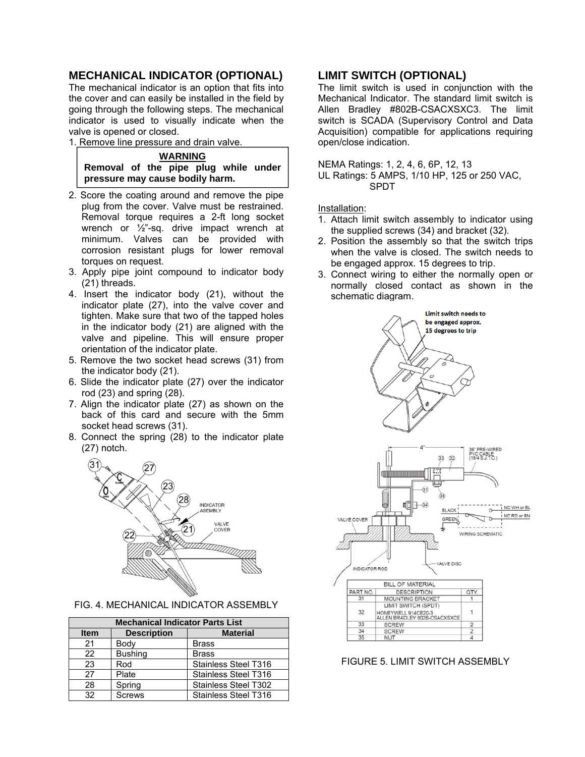#### <span id="page-5-0"></span>**MECHANICAL INDICATOR (OPTIONAL)**

The mechanical indicator is an option that fits into the cover and can easily be installed in the field by going through the following steps. The mechanical indicator is used to visually indicate when the valve is opened or closed.

1. Remove line pressure and drain valve.

**WARNING Removal of the pipe plug while under pressure may cause bodily harm.**

- 2. Score the coating around and remove the pipe plug from the cover. Valve must be restrained. Removal torque requires a 2-ft long socket wrench or ½"-sq. drive impact wrench at minimum. Valves can be provided with corrosion resistant plugs for lower removal torques on request.
- 3. Apply pipe joint compound to indicator body (21) threads.
- 4. Insert the indicator body (21), without the indicator plate (27), into the valve cover and tighten. Make sure that two of the tapped holes in the indicator body (21) are aligned with the valve and pipeline. This will ensure proper orientation of the indicator plate.
- 5. Remove the two socket head screws (31) from the indicator body (21).
- 6. Slide the indicator plate (27) over the indicator rod (23) and spring (28).
- 7. Align the indicator plate (27) as shown on the back of this card and secure with the 5mm socket head screws (31).
- 8. Connect the spring (28) to the indicator plate (27) notch.



| FIG. 4. MECHANICAL INDICATOR ASSEMBLY |
|---------------------------------------|
|---------------------------------------|

| <b>Mechanical Indicator Parts List</b> |                    |                             |  |
|----------------------------------------|--------------------|-----------------------------|--|
| <b>Item</b>                            | <b>Description</b> | <b>Material</b>             |  |
| 21                                     | Body               | <b>Brass</b>                |  |
| 22                                     | <b>Bushing</b>     | <b>Brass</b>                |  |
| 23                                     | Rod                | Stainless Steel T316        |  |
| 27                                     | Plate              | Stainless Steel T316        |  |
| 28                                     | Spring             | <b>Stainless Steel T302</b> |  |
| 32                                     | <b>Screws</b>      | <b>Stainless Steel T316</b> |  |

#### **LIMIT SWITCH (OPTIONAL)**

The limit switch is used in conjunction with the Mechanical Indicator. The standard limit switch is Allen Bradley #802B-CSACXSXC3. The limit switch is SCADA (Supervisory Control and Data Acquisition) compatible for applications requiring open/close indication.

NEMA Ratings: 1, 2, 4, 6, 6P, 12, 13

UL Ratings: 5 AMPS, 1/10 HP, 125 or 250 VAC, SPDT

Installation:

- 1. Attach limit switch assembly to indicator using the supplied screws (34) and bracket (32).
- 2. Position the assembly so that the switch trips when the valve is closed. The switch needs to be engaged approx. 15 degrees to trip.
- 3. Connect wiring to either the normally open or normally closed contact as shown in the schematic diagram.



FIGURE 5. LIMIT SWITCH ASSEMBLY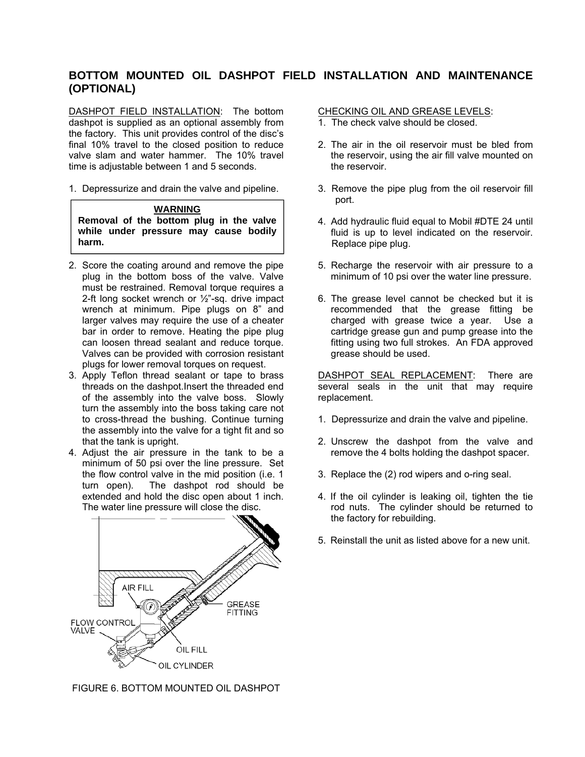#### <span id="page-6-0"></span>**BOTTOM MOUNTED OIL DASHPOT FIELD INSTALLATION AND MAINTENANCE (OPTIONAL)**

DASHPOT FIELD INSTALLATION: The bottom dashpot is supplied as an optional assembly from the factory. This unit provides control of the disc's final 10% travel to the closed position to reduce valve slam and water hammer. The 10% travel time is adjustable between 1 and 5 seconds.

1. Depressurize and drain the valve and pipeline.

#### **WARNING**

**Removal of the bottom plug in the valve while under pressure may cause bodily harm.** 

- 2. Score the coating around and remove the pipe plug in the bottom boss of the valve. Valve must be restrained. Removal torque requires a 2-ft long socket wrench or ½"-sq. drive impact wrench at minimum. Pipe plugs on 8" and larger valves may require the use of a cheater bar in order to remove. Heating the pipe plug can loosen thread sealant and reduce torque. Valves can be provided with corrosion resistant plugs for lower removal torques on request.
- 3. Apply Teflon thread sealant or tape to brass threads on the dashpot.Insert the threaded end of the assembly into the valve boss. Slowly turn the assembly into the boss taking care not to cross-thread the bushing. Continue turning the assembly into the valve for a tight fit and so that the tank is upright.
- 4. Adjust the air pressure in the tank to be a minimum of 50 psi over the line pressure. Set the flow control valve in the mid position (i.e. 1 turn open). The dashpot rod should be extended and hold the disc open about 1 inch. The water line pressure will close the disc.



FIGURE 6. BOTTOM MOUNTED OIL DASHPOT

#### CHECKING OIL AND GREASE LEVELS:

- 1. The check valve should be closed.
- 2. The air in the oil reservoir must be bled from the reservoir, using the air fill valve mounted on the reservoir.
- 3. Remove the pipe plug from the oil reservoir fill port.
- 4. Add hydraulic fluid equal to Mobil #DTE 24 until fluid is up to level indicated on the reservoir. Replace pipe plug.
- 5. Recharge the reservoir with air pressure to a minimum of 10 psi over the water line pressure.
- 6. The grease level cannot be checked but it is recommended that the grease fitting be charged with grease twice a year. Use a cartridge grease gun and pump grease into the fitting using two full strokes. An FDA approved grease should be used.

DASHPOT SEAL REPLACEMENT: There are several seals in the unit that may require replacement.

- 1. Depressurize and drain the valve and pipeline.
- 2. Unscrew the dashpot from the valve and remove the 4 bolts holding the dashpot spacer.
- 3. Replace the (2) rod wipers and o-ring seal.
- 4. If the oil cylinder is leaking oil, tighten the tie rod nuts. The cylinder should be returned to the factory for rebuilding.
- 5. Reinstall the unit as listed above for a new unit.